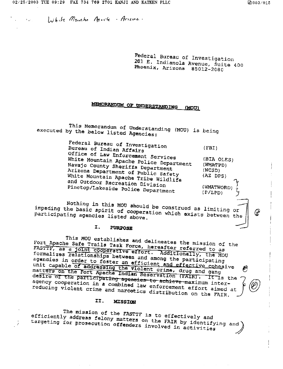M

White Mounter March Arizon.

Federal Bureau of Investigation 201 E. Indianola Avenue, Suite 400 Phoenix, Arizona 85012-2080

#### MEMORANDUM OF UNDERSTANDING (MOU)

This Memorandum of Understanding (MOU) is being executed by the below listed Agencies:

> Federal Bureau of Investigation Bureau of Indian Affairs  $(FBI)$ Office of Law Enforcement Services White Mountain Apache Police Department (BIA OLES) Navajo County Sheriffs Department  $(WMATPD)$ Arizona Department of Public Safety  $(NCSD)$ White Mountain Apache Tribe Wildlife (AZ DPS) and Outdoor Recreation Division Pinetop/Lakeside Police Department (WMATWORD)  $(P/LPD)$

Nothing in this MOU should be construed as limiting or impeding the basic spirit of cooperation which exists between the participating agencies listed above.

#### I. **PURPOSE**

This MOU establishes and delineates the mission of the Fort Apache Safe Trails Task Force, hereafter referred to as FASTTF, as a joint cooperative effort. Additionally, the MOU formalizes relationships between and among the participating agencies in order to foster an efficient and effective cohesive unit capable of addressing the violent crime, drug and gang<br>matters on the Fort Apache Indian Reservation (FAIR). It is the desire of the participating agencies to achieve maximum interagency cooperation in a combined law enforcement effort aimed at reducing violent crime and narcotics distribution on the FAIR.

#### II. MISSION

The mission of the FASTTF is to effectively and efficiently address felony matters on the FAIR by identifying and targeting for prosecution offenders involved in activities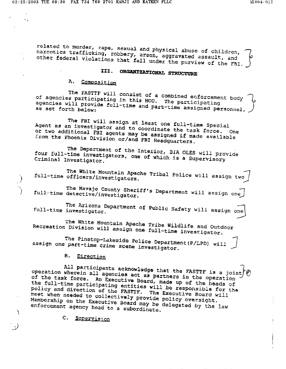$\tilde{X}_{T_{\rm eff}}$ 

Y

re**l**ate**d** t**o** murder, rap**e**, sexual a**n**d physica**l** a**b**use o**f** chi**l**dren, \_\_ narcotics trafficking, robbery, and puysical abuse of children narcotics trafficking, robbery, arson, aggravated assault, and<br>other federal violations that fall under the purview of the FBI.

# **I**\_%**.** O\_Z\_**T**IO**NAL** S**TRU**CTU**R**E

A**. Compositio**n

The FASTTF w**i**ll consis**t** o**f** a c**o**mbine**d** en**f**or**c**ement body \_ of agencies participating in this MOU. The participating<br>agencies will provide full-time and part-time assigned personnel, J<br>as set forth below:

The FB**I** wi**l**l assi**g**n at leas**t** one ful**l**-t**i**me Spe**c**ial Agent as an investigator and to coordinate the task force. or tw**o** additi**o**nal FBI agents m**a**y be assi**g**ned **if mad**e available from the **Ph**oen**i**x Di**v**ision or/**a**n**d F**B**I** He**a**dq**u**arters.

The Depa**r**tment o**f** the In**te**r**i**or, BIA OL**E**S w**i**l**l** provide four full-time investigations, the futur, BIA OLES will p cr**i**minal Inve**s**tigator.

The White Mounta**i**n A**p**a**c**he Tribal **P**ol**ic**e will **a**ssign two [ **-**\_ fu**ll-**t**ime** o**ffic**er**s**/in**v**estigato**r**s.

.**.** The Navaj**o Co**unty S**h**eriff's Department will assign on ) **f**u**l**l-t**im**e dete**c**t**i**ve/investi**g**at**o**r.

The A**r**izon**a** Dep**a**rtment of **Pu**b**l**ic S**a**fety will **a**ssign o\_ full-**t**ime inves**t**igator.

The White Mounta**i**n Ap**a**che T**r**ibe Wi**l**dl**i**fe and Outdoor Re**c**r**e**ation Div**i**si**o**n wil**l** assi**g**n One fu**l**l-time investi**g**ator.

The Pinetop-Lakeside Police Department (P/LPD) will ass**ig**n one part-time crime scene inv**es**tigator.

B. Direction

All participants acknowledge that the FASTTF is a joint operat**i**on wherein a**ll** ngenci\_s a**c**t as **par**tners **i**n the o**p**e**r**ation the task force. An **Executive Board, Martners in the operation** the full-time participating entitie**s** will be res**p**onsib**l**e for th**e** polic**y a**n**d** d**ir**e**c**tion of the FASTT**F**. The **E**xe**c**ut**i**ve B**o**ard will meet when ne**e**de**d** to **co**llectiv**e**l**y** p**r**ovi**d**e poli**c**y oversight. M%mbership **o**n the **E**xe**cu**tive Bo**a**r**d** may be delegated by the law enforcement agency hea**d** to a subo**r**dinate.

C. Supervision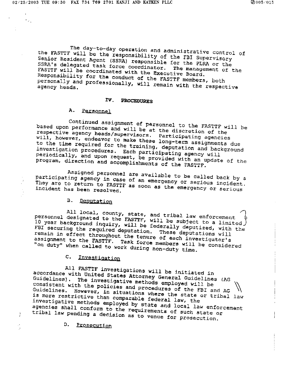$\epsilon_{\rm th}$ 

Ì.

The day-to-day operation and administrative control of<br>' will be the responsibility of the FRI 2 the FASTIF will be the responsibility of the FBI Supervisory<br>Senior Resident Agent (SSRA) responsible for the FBI Supervisory Senior Resident Agent (SSRA) responsible for the PLRA or the<br>SSRA's delegated task force coordinator. The management of the<br>FASTTF will be coordinated with the Executive Board. Responsibility for the conduct of the FASTTF members, both personally and professionally with FASTIT members, both sgency heads. The management with the respective FASTTF w**i**l**l** be coordinated with the **E**xecutive Board.

#### Respons**i**bil**i**ty for the conduct O**f** the FASTTF members, both personally and profess**i**onally, will remain with the respscKive

#### Personnel agency hea**d**s.

Continued assignment of personnel to the FASTTF will be based upon performance and will be at the discretion of the<br>respective agency heads/supervisors. Participating agencies<br>will, however, endeavor to make these long-term assignments due Continued a**s**signment of **p**e**r**sonne**l** to **t**he FASTTF **w**ill be hvestigation procedures **Engineer in the discretion** and backgy eriodically, and upon results her ticipating agency will wi**ll**, h**o**wever, en**d**eavor to make **t**he**se l**ong-term ass**i**gnments due program, direction and accomplishments of the FASTTF.

Assigned personnel are available to be called back by a per**i**odic**a**lly, and upon reque**s**t, be provi**d**ed with an update of the pey are to return to FASTTF.  $\frac{1}{2}$  and emergency or serio They are to return to FASTTF as soon as the emergency or serious

#### **B.** Deputation They are t**o** retu**r**n to FAST**TF** as soon as the emer**g**en**c**y or serious

All local, county, state, and tribal law enforcement personnel designated to the FASTTF, will be subject to a limited )<br>10 year background inquiry, will be federally deputized, with the FBI securing the required deputation. These deputations will<br>remain in effect throughout the tenure of each investigator's personnel desig**n**ate**d** to the FASTTF, w**i**l**l** be subject to a limite**d** 2 **1**0 ye**a**r b**a**ckground inq**ui**ry, will be fedmrally deput**i**ze**d**, wi**t**h the "on duty" when called to work during non-duty time.

#### **C.** Investigation assign**m**ent to the FAST**T**F. **T**ask force members wil**l** be considered

All FASTTF investigations will be initiated in<br>accordance with United States Attorney General Guidelines (AG Guidelines). The investigative methods employed will be consistent with the policies and procedures of the FBI and AG Guidelines. However, in situations where the state or tribal is more restrictive than comparable federal Guidelines. However, in situations where the state or tribal law  $\text{Testingative methods}$  employed with the status  $\text{true}$ ncies shall conform that by state and local law enforcement agencies shall conform to the requirements of such state or tribal law pending a decision as to venue for prosecution.

**D.** Prosecution agen**c**ies sha**ll c**o\_**f**orm to the re**q**uire**m**e**n**t**s** o**f** such state **o**r I1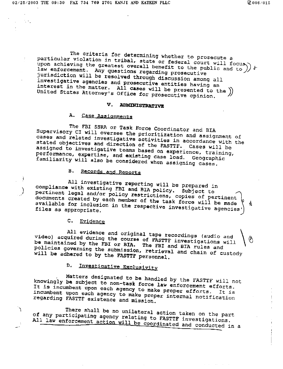The criteria for determining whether to prosecute a particular violation in tribal, state or federal court will focus) be upon achieving the greatest overall benefit to the public and to )  $b$ law enforcement. Any questions regarding prosecutive jurisdiction will be resolved through discussion among all investigative agencies and prosecutive entities having an interest in the matter. All cases will be presented to the )) United States Attorney's Office for prosecutive opinion.

## V. ADMINISTRATIVE

#### Α. Case Assignments

The FBI SSRA or Task Force Coordinator and BIA Supervisory CI will oversee the prioritization and assignment of cases and related investigative activities in accordance with the stated objectives and direction of the FASTTF. Cases will be assigned to investigative teams based on experience, training, performance, expertise, and existing case load. Geographic familiarity will also be considered when assigning cases.

#### $B_{\rm A}$ Records and Reports

All investigative reporting will be prepared in compliance with existing FBI and BIA policy. Subject to pertinent legal and/or policy restrictions, copies of pertinent documents created by each member of the task force will be made available for inclusion in the respective investigative agencies' A

C. Evidence

١

All evidence and original tape recordings (audio and video) acquired during the course of FASTTF investigations will be maintained by the FBI or BIA. The FBI and BIA rules and policies governing the submission, retrieval and chain of custody will be adhered to by the FASTTF personnel.

#### Investigative Exclusivity D.

Matters designated to be handled by the FASTTF will not knowingly be subject to non-task force law enforcement efforts. It is incumbent upon each agency to make proper efforts. incumbent upon each agency to make proper internal notification regarding FASTTF existence and mission.

There shall be no unilateral action taken on the part of any participating agency relating to FASTTF investigations. All law enforcement action will be coordinated and conducted in a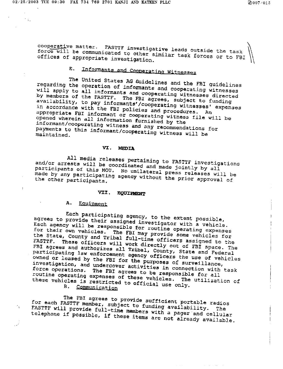matter. FAST**T**F in**v**estigative **l**eads outside the task \_\ force will be communicated to assess the leads outside the task force will be communicated to other similar task forces or to FBI<br>offices of appropriate investigation

# **E**. InfozTna\_ts \_nd Coo**Deratin\_ Witnesses**

The United States AG Guidelines and the FBI guidelines regarding the operation of informants and cooperatin**g** witnesses will apply to all informants and cooperating witnesses will apply to all informants and cooperating witnesses directed<br>by members of the FASTTF. The FBI agrees, subject to funding availabil±ty, to pay informants'/cooper**a**ting witnesses' expenses in accordance with the FBI policies and procedures**.** An appropriate FBI informant or co**o**pezmting w**i**tnes\_ f**i**le will be pened wherein all information furnished withes informant/cooperat**i**ng witness and any recommendations for payments to this in**fo**rmant **c**o**ope**rating witness wi**ll** be payments to this informant/cooperating witness will be maintained.

#### V**I. M**ED**IA**

All me**d**i**a** re**l**e**a**ses pert**ai**ning to FA**S**T**T**F **i**nvestigations and/or ar**re**sts wil**l** be coordin**a**ted an**d** made Jointly b**y** all participants **o**f this MOU. No u**ni**latera**l** p**r**ess releases wil**l** be made by any p**a**rticipatin**g** \_gen**oy** wi**t**hout **t**he pri**o**r app**r**oval of made by any participating agency without the prior approval of

#### V**I**X. EQ**UI**PME**NT**

## A. Equipment

 $\ddot{.}$ 

E**ach pa**rtici**pat**ing agenc**y**, t**O** the extent possible, agrees t**o** prov**i**de the**i**r assi**g**ned invest**i**gator wi**t**h a veh**i**cle. Ea**c**h agency w**i**ll be responsible for r**o**utine operating expenses for th**e**ir o**w**n vehicl**es**. **T**he EBI may provide some vehi**c**les for the State, **C**oun**t**y and Tribal ful**l**-time o**f**ficers **a**ssigned **t**o the FASTTF. The**s**e officers wil**l** wor**k d**irectly ou**t** o**f** FB**I** space. The FB**I** a**g**r**e**es and author**i**zes a**l**l Tr**i**bal, **C**o**u**nty, State and Fed**e**ra**l** participat**i**n**g** law en**f**or**c**ement agen**c**y o**f**f**i**cers the u**s**e o**f** vehicles owne**d** o**r** le**a**sed by the FBI fo**r** t**he p**urposes of surv**e**il**l**ance, **i**nvestig**a**t**i**on, an**d** un**d**e**rc**over **a**c**t**iv**i**t**i**es in con**n**e**c**tion w**i**th task force operat**io**ns. **T**h**e F**B**I** agrees to be respons**i**ble for all rout**i**ne **op**erating e**x**p**e**nse**s o**f these vehicles. The uti**l**ization of these **v**ehic**l**es is restricted to o**f**fic**i**al use on**l**y.

B. Communication

The FBI agre**e**s to pro**v**id**e s**uf**f**ic**i**en**t p**ortab**l**e radios for each FASTTF member, subject to funding availability. ', FASTTF will prov**id**e full-time members with a pager **a**nd cellula**r** telephone if possible, **if** these **i**tems are not **a**lre**a**dy av**a**ilable.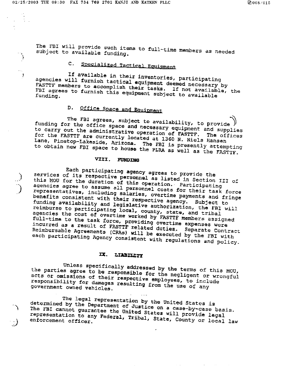The FBI will provide such items to full-time members as needed subject to available funding.

#### Specialized Tactical Equipment  $\mathsf{c}$ .

If available in their inventories, participating agencies will furnish tactical equipment deemed necessary by FASTTF members to accomplish their tasks. If not available, the FBI agrees to furnish this equipment subject to available

#### Office Space and Equipment D.

The FBI agrees, subject to availability, to provide ) funding for the office space and necessary equipment and supplies to carry out the administrative operation of FASTTF. The offices for the FASTTF are currently located at 1360 N. Niels Hansen Lane, Pinetop-Lakeside, Arizona. The FBI is presently attempting to obtain new FBI space to house the PLRA as well as the FASTTF.

## VIII. FUNDING

Each participating agency agrees to provide the services of its respective personnel as listed in Section III of this MOU for the duration of this operation. Participating agencies agree to assume all personnel costs for their task force representatives, including salaries, overtime payments and fringe benefits consistent with their respective agency. Subject to funding availability and legislative authorization, the FBI will reimburse to participating local, county, state, and tribal agencies the cost of overtime worked by FASTTF members assigned full-time to the task force, providing overtime expenses were incurred as a result of FASTTF related duties. Separate Contract Reimbursable Agreements (CRAs) will be executed by the FBI with each participating Agency consistent with regulations and policy.

#### LIABILITY Ц.

Unless specifically addressed by the terms of this MOU, the parties agree to be responsible for the negligent or wrongful acts or omissions of their respective employees, to include responsibility for damages resulting from the use of any government owned vehicles.

The legal representation by the United States is determined by the Department of Justice on a case-by-case basis. The FBI cannot guarantee the United States will provide legal representation to any Federal, Tribal, State, County or local law enforcement officer.

 $\epsilon = \pm 1$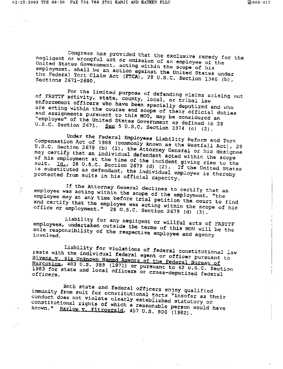$\sigma_{\rm{tot}}$ 

 $\frac{1}{2}$ 

Congress has provided that the exclusive remedy for the negligent or wrongful act or omission of an employee of the United States Government, acting within the scope of his employment, shall be an action against the United States under the Federal Tort Claim Act (FTCA), 28 U.S.C. Section 1346 (b),

For the limited purpose of defending claims arising out of FASTTF activity, state, county, local, or tribal law enforcement officers who have been specially deputized and who are acting within the course and scope of their official duties and assignments pursuant to this MOU, may be considered an "employee" of the United States Government as defined in 28 U.S.C. Section 2671. See 5 U.S.C. Section 3374 (c) (2).

Under the Federal Employees Liability Reform and Tort Compensation Act of 1988 (commonly known as the Westfall Act), 28 U.S.C. Section 2679 (b) (1), the Attorney General or his designee may certify that an individual defendant acted within the scope of his employment at the time of the incident giving rise to the suit. Id., 28 U.S.C. Section 2679 (d) (2). If the United States is substituted as defendant, the individual employee is thereby protected from suits in his official capacity.

If the Attorney General declines to certify that an employee was acting within the scope of the employment, "the employee may at any time before trial petition the court to find and certify that the employee was acting within the scope of his office or employment." 28 U.S.C. Section 2679 (d) (3).

Liability for any negligent or willful acts of FASTTF employees, undertaken outside the terms of this MOU will be the sole responsibility of the respective employee and agency

Liability for violations of federal constitutional law rests with the individual federal agent or officer pursuant to Bivens v. Six Unknown Named Agents of the Federal Bureau of Narcotics, 403 U.S. 388 (1971) or pursuant to 42 U.S.C. Section 1983 for state and local officers or cross-deputized federal

Both state and federal officers enjoy qualified immunity from suit for constitutional torts "insofar as their conduct does not violate clearly established statutory or constitutional rights of which a reasonable person would have known." Harlow v. Fitzgerald, 457 U.S. 800 (1982).

 $\omega_{\rm{eff}} = 1$  .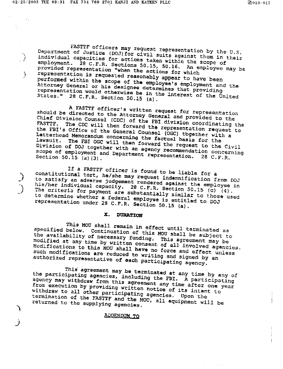FAS**TT**F **o**fficers \_a**y** reque**s**t represent**a**tion b**y** the U**.**S. Department of J**u**stl**oe** (DO**J**)fo**r** civ**il** su**i**ts ag**a**inst them **in** the**i**r .... " **i**ndi**v**i**d**ua**l** capacities fo**r** a**c**tions taken **wi**thin the s**cop**e **of** position of Justice (DOJ) for civil suits against them in their<br>individual capacities for actions taken within the scope of<br>employment. 28 C.F.R. Sections 50.15, 50.16. An employee may be provided r**epr**esent**a**ti**o**n "when the a**c**t**i**on**s fo**r which h representat**i**on **i**s requested reason**a**bl**y a**ppe**a**r to h**a**ve been per**f**orme**d wi**th**in the scope** o**f** the e**m**p**l**o**ye**e'**s** em**pl**o**y**me**n**t and th**e** Attorney General or his designeed deployee's employment re**pr**e**s**entat**i**on would otherw**is**e be **i**n t**h**e **i**nterest of the United States." **28 C**.F.K. Se**c**tion **5**0**.15** (**a**)**.**

A **F**A**ST**T**F o**f**fic**er's written **re**q**u**es**t for** re**p**re**s**entation should b**e** d**i**re**c**te**d** to the Attorney **G**ene**r**al and prov**i**ded to the Chief Div**i**sion **C**ounsel (**C**DC) of the FB**I** divi**si**on **c**oordinating the \_ASTTF. **T**he CDC w**i**ll then **f**o**r**wa**r**d the representation request to FASTTF. The CDC will then forward the representation request to<br>the FBI's Office of the General Counsel (OGC) tbgether with a<br>Letterhead Memorandum concerning the factual basis for the the FBI's Office of the General Counsel (OGC) tbgether with a lawsuit. The FB**I** OGC will then **f**orwa**rd** the re**q**uest to the **C**ivil D**i**vi**si**on of DOJ to**g**ethe**r** with an agency **r**eco\_en**d**at**i**on **c**oncerning Division of DOJ together with an agency recommendation concerning scope of employment and Department representation. 28 C.F.R.<br>Section 50.15 (a) (3).

I**f** a FAS**TT**F **o**f**fi**cer is **f**oun**d t**o be l**i**ab**l**e **f**or **a constitutional tort, he/she may require to be liable for a** to satisfy an a**d**ve**r**se Ju**d**gemen**t** ren**d**sred a**g**ainst the employee in his consisting an adverse judgement rendered against the employee in ne criteria for payment are substantially similar to those used his/her individual capacity. 28 C.F.R. Section 50.15 (c) (4). representation unde**r** 2**8** C.**F**.**R**. Sec**t**ion **5**0.**1**5 (a).

#### X**. DU**R**AT**IO**N**

Th**is** MOU **s**ha**l**l re**m**ain **i**n **eff**ect unt**i**l t**e**rm**i**nate**d** as spe**c**ifie**d** b**e**low. C**o**n**ti**nuation of th**is** M**O**U shal**l** be subje**c**t to the avai**l**ability o**f** nece**s**sar**y** f**u**n**d**in**g**. **T**his **ag**reement **may** be mo**d**if**ie**d at any time b**y** wr**i**tten **c**onse**n**t of a**l**l involved agencies. Mod**if**ication**s** t**o** th**i**s MOU **s**ha**l**l hav**e** no force and effe**c**t unless Modifications to this MOU shall have no force and effect unless<br>such modifications are reduced to writing and signed by an<br>authorized representative of each participating agency. actional representations are reduced to writing and signed by an

**T**h**i**s agre**e**ment \_ay be ter**r**aina**te**d at any time by an**y** of th**e** parti**c**ipating age,ties, in**c**ludin**g** the **F**B**I,** A participatin**g** agen**c**y m**a**y w**i**thdraw from thi**s** ag**r**eement any time a**f**te**r** one year agency may withdraw from this agreement any time after one year<br>from execution by providing written notice of its intent to<br>withdraw to all other participating agencies. Upon the from execution by providing written notice of its intent to terminat**i**on **of** the FAST**T**F and the MOU, all equipment wil**l** be return**ed** t**o** the supply**i**n**g** a**g**encie**s**.

ADDENDUM TO

 $\sim$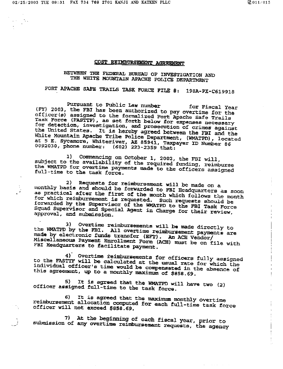## COST REIMBURSEMENT AGREEMENT

# BETWEEN THE FEDERAL BUREAU OF INVESTIGATION AND THE WHITE MOUNTAIN APACHE POLICE DEPARTMENT

# FORT APACHE SAFE TRAILS TASK FORCE FILE #: 198A-PX-C619918

Pursuant to Public Law number for Fiscal Year (FY) 2003, the FBI has been authorized to pay overtime for the officer(s) assigned to the formalized Fort Apache Safe Trails Task Force (FASTTF), as set forth below for expenses necessary for detection, investigation, and prosecution of crimes against the United States. It is hereby agreed between the FBI and the White Mountain Apache Tribe Police Department, (WMATPD), located at 5 E. Sycamore, Whiteriver, AZ 85941, Taxpayer ID Number 86 0092030, phone number: (602) 223-2359 that:

Commencing on October 1, 2002, the FBI will, l) subject to the availability of the required funding, reimburse the WMATPD for overtime payments made to the officers assigned full-time to the task force.

2) Requests for reimbursement will be made on a monthly basis and should be forwarded to FBI Headquarters as soon as practical after the first of the month which follows the month for which reimbursement is requested. Such requests should be forwarded by the Supervisor of the WMATPD to the FBI Task Force Squad Supervisor and Special Agent in Charge for their review, approval, and submission.

3) Overtime reimbursements will be made directly to the WMATPD by the FBI. All overtime reimbursement payments are made by electronic funds transfer (EFT). An ACH Vendor/ Miscellaneous Payment Enrollment Form (ACH) must be on file with FBI Headquarters to facilitate payment.

4) Overtime reimbursements for officers fully assigned to the FASTIF will be calculated at the usual rate for which the individual officer's time would be compensated in the absence of this agreement, up to a monthly maximum of \$858.69.

It is agreed that the WMATPD will have two (2) 5). officer assigned full-time to the task force.

6) It is agreed that the maximum monthly overtime reimbursement allocation computed for each full-time task force officer will not exceed \$858.69.

7) At the beginning of each fiscal year, prior to submission of any overtime reimbursement requests, the agency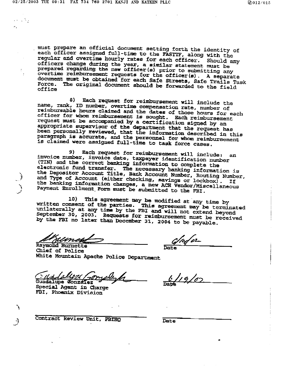m**u**\_t pr**e**p**ar**e **an** o**f**f**ici**a**l d**m**cu**me**nt s**et**ting f**o**r**t**h** t**he** i**d**e**n**t**ity** o**f "** ea**ch** o**f**f**i**ce**r** ass**ign**ed **fu**ll-t**i**me to t**h**e **FAS**'\_**-**x\_'**,alon**g w**i**th t**h**e **r**e**gul**ar **and** ov**er**ti**me h**o**urly** r**a**t**e**s fo**r** e**ach** o**f**f**ic**er. S**houl**d \_**ny officers cha**\_**ge dur**ing **th**e **year**, a s**imil**a**r sta**teme**n**t **m**us**t b**e **pr**e**pared r**e**g**a**rd**l**n**9 t**h**e **n**\_**w** o**ff**lce**r(**e**)** p**rior** to s**ub**m**it**t**ing** a**ny** o**v**e**rti**me **r**e**i**m**bur**sem**en**t **r**e**q**uests **f**o**r** t**h**e o**fficer(s). A** s**ep**a**ra**t**e d**o**cum**\_t m**u**st **b**e o**bt**a**in**e**d** fo**r each Saf**e **street**s**, Sa**fe **Trails T**a**s**k **F**o**r**ce**. Th**e o**ri**gi**na**l **doc**u**m**e**nt s**ho**ul**d **b**e **f**o**rwa**rde**d t**o **th**e **fi**e**ld** o**ffice**

8**) Each re**q**Ue**s**t f**o**r r**e**i**m**bur**s**emen**t w**il**l i**ncl**u**d**e t**h**e **nam**e**, rank,** ID **nu**m**ber**, o**v**e**r**t**i**m**e c**ompe**ns**at**i**o**n ra**te**, numb**e**r of re**im**b**u**rs**a**ble h**o**urs** c**la**i**med and th**e **date**s o**f** t**h**ose **h**ours **for** eac**h** offi**c**e**r for** w**h**o**m r**ei**mbur**s**e**me**n**t i**s** so**ugh**t**.** E**ach r**e**imburs**eme**n**t **r**e**qu**est \_mst **b**e **acco**mpa**ni**ed **by a** c**er**t**i**ficat**i**o**n slg**n**ed by** a**n a**p**pro**p**ri**ate s**upervi**so**r o**f **t**h**e** d**epartm**e**nt tha**t t**he r**e**qu**est **has b**e**en p**erso**nally** r**evi**e**wed,** t**ha**t **th**e **inf**o**r**mat**i**o**n de**s**cribed in** t**his** paragraph is accurate, and the personnel for whom reimbursement **is cla**i**med** we**r**e **as**signe**d fu**ll**-**time **t**o t**a**s**k f**o**rc**e **c**ases**.**

**9) Each r**e**que**s**t f**o**r r**eim**bur**se**m**e**nt wi**l**l includ**e: a**n in**vo**ic**e **n**u**mber, inv**o**ice d**ate, t**a**x**p**a**yer iden**ti**fica**t**i**o**n number** (**TIN) and** t**he c**o**rr**eot **bankin**g \_i**f**o**rmati**o**n t**o **co**m**pl**e**t**e **th**e e**l**ect**r**o**nic ftt**nd t**r**\_-\_**f**e**r. The** nec**e**ss**ary banking informa**t**ion i**s **the D**epo**si**to**r Acc**o**un**t **Tit**l**e, B**au**l**k **Acc**o**un**t **N**um**ber,** Ro**u**t**in**g **Nu**m**b**e**r,** a**nd** T**yp**e of **Acc**oun**t** (ei**th**e**r ch**e**c**k**in**g, **s**a**vings** o**r l**o**ekbo**x) . **I**f **"** t**h**e **ba**n**kln**g **inf**o**r**m**ation ch**a**nge**s, a **D**\_w A**C**\_ **V**er\_m**r**/**Miscell**a**n**eo**us Payment** E**nr**o**ll**me**n**t **F**o**r**m m**u**st **b**e s**ub**m**i**tte**d** to **the** FB**I**.

10**) Thi**s ag**r**ee **\_s**e**nt** ma**y be m**o**dified a**t **a**n**y** t**im**e **by writ**te\_ c**on**s**en**t o**f** t**he par**t**ie**s**. Thl**m ag**re**eme**n**t m**ay b**e ts**rmln**at**ed unila**ter**ally at any** time **by th**e **P**B\_ **and will n**ot ex**t**e**nd bey**o**n**d **Sept**e**mber 3**0**, 2**00**3**. Requests **f**o**r r**elm**bur**seme**n**\_ m**u**st **b**e **r**e**c**e**iv**e**d by** t**he FB**I **n**o **la**t**er tha**x**l D**\_ce**mber 31**, **2**0**04** t**o b**\_ **p**a**y**ab**le.**

Kumes Raymond Burne<del>tte</del> Date

Ch**i**e**f** of Po**l**i**c**e W**h**ite Mo**un**tai**n** A**p**ache **P**o**l**i**ce** De**par**tm**ent**

lablazi Guadalupe Conzalez

spe**cia**l **Agen**t **in Charg**e **F**B**I**, **Pho**e**nix Divi**sio**n**

/,

لي الأبراء الأمر<br>مواليد  $\mathbf{A}_{\mathrm{in}}$ 

 $\ddot{\cdot}$ 

.**.**2

٦

 $\frac{1}{9}$  / 07

**c**ont**rac**t**' 'Revi**e**w u**ni**t**, FB**IH**Q **Date**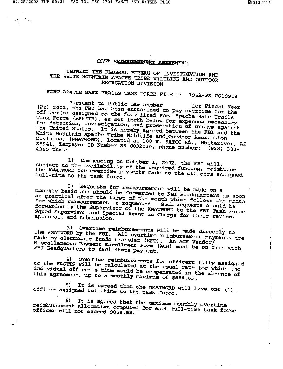$\mathcal{O}(\mathbb{R}^3)$  .

## COST REIMBURSEMENT AGREEMENT

# BETWEEN THE FEDERAL EUREAU OF INVESTIGATION AND THE WHITE MOUNTAIN APACHE TRIBE WILDLIFE AND OUTDOOR RECREATION DIVISION

FORT APACHE SAFE TRAILS TASK FORCE FILE #: 198A-PX-C619918

Pursuant to Public Law number (FY) 2003, the FBI has been authorized to pay overtime for the for Fiscal Year officer(a) assigned to the formalized Fort Apache Safe Trails Task Force (FASTTF), as set forth below for expenses necessary for detection, investigation, and prosecution of crimes against the United States. It is hereby agreed between the FBI and the White Mountain Apache Tribe Wildlife and Outdoor Recreation Division, (WMATWORD), located at 100 W. FATCO Rd., Whiteriver, AZ 85941, Taxpayer ID Number 86 0092030, phone number: (928) 338-

1) Commencing on October 1, 2002, the FBI will, subject to the availability of the required funding, reimburse the WMATWORD for overtime payments made to the officers assigned full-time to the task force.

2) Requests for reimbursement will be made on a monthly basis and should be forwarded to FBI Headquarters as soon as practical after the first of the month which follows the month for which reimbursement is requested. Such requests should be forwarded by the Supervisor of the WMATWORD to the FBI Task Force Squad Supervisor and Special Agent in Charge for their review, approval, and submission.

Overtime reimbursements will be made directly to 31 the WMATWORD by the FBI. All overtime reimburgement payments are made by electronic funds transfer (EFT). An ACH Vendor/ Miscellaneous Payment Enrollment Form (ACH) must be on file with FBI Headquarters to facilitate payment.

4) Overtime reimbursements for officers fully assigned to the FASTTF will be calculated at the usual rate for which the individual officer's time would be compensated in the absence of this agreement, up to a monthly maximum of \$858.69.

It is agreed that the WMATWORD will have one (1) 5) officer assigned full-time to the task force.

6) It is agreed that the maximum monthly overtime reimbursement allocation computed for each full-time task force officer will not exceed \$858.69.